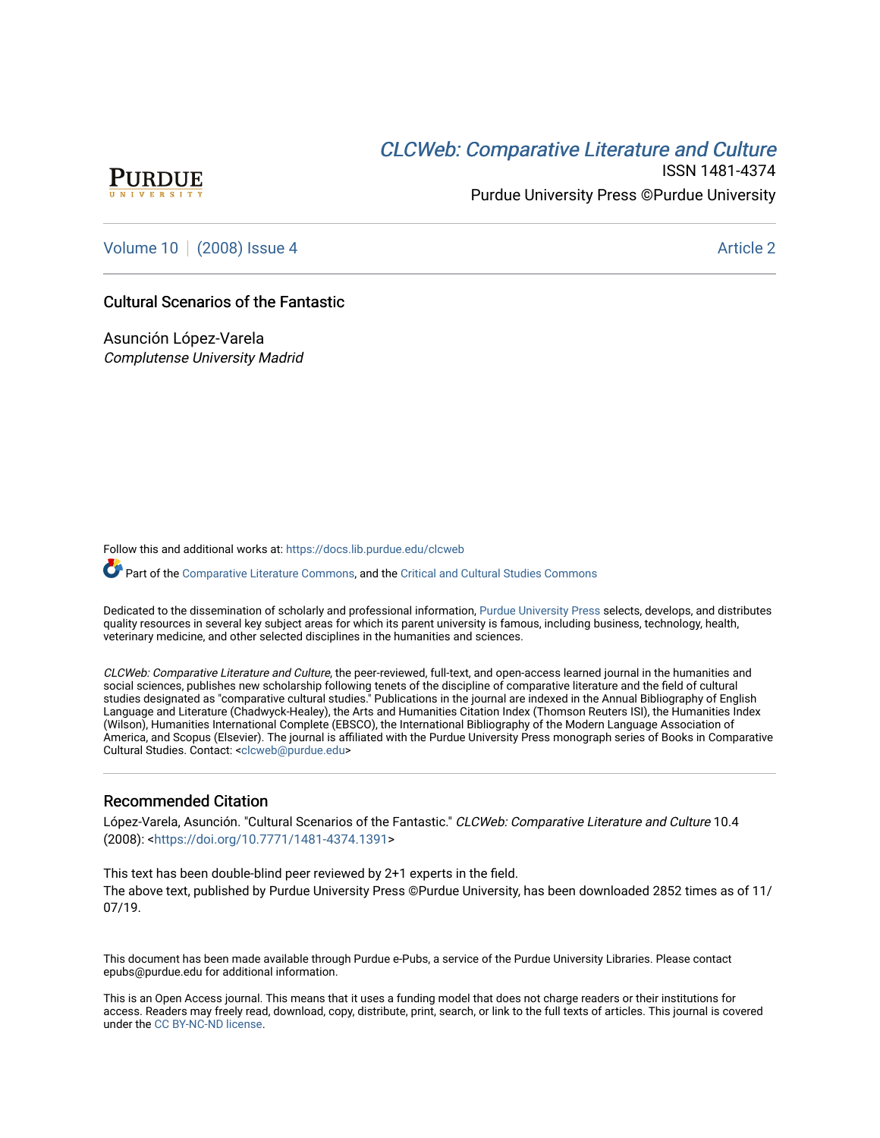# **CLCW[eb: Comparative Liter](https://docs.lib.purdue.edu/clcweb)ature and Culture**



ISSN 1481-4374 Purdue University Press ©Purdue University

[Volume 10](https://docs.lib.purdue.edu/clcweb/vol10) | [\(2008\) Issue 4](https://docs.lib.purdue.edu/clcweb/vol10/iss4) Article 2

### Cultural Scenarios of the Fantastic

Asunción López-Varela Complutense University Madrid

Follow this and additional works at: [https://docs.lib.purdue.edu/clcweb](https://docs.lib.purdue.edu/clcweb?utm_source=docs.lib.purdue.edu%2Fclcweb%2Fvol10%2Fiss4%2F2&utm_medium=PDF&utm_campaign=PDFCoverPages)

Part of the [Comparative Literature Commons,](http://network.bepress.com/hgg/discipline/454?utm_source=docs.lib.purdue.edu%2Fclcweb%2Fvol10%2Fiss4%2F2&utm_medium=PDF&utm_campaign=PDFCoverPages) and the Critical and Cultural Studies Commons

Dedicated to the dissemination of scholarly and professional information, [Purdue University Press](http://www.thepress.purdue.edu/) selects, develops, and distributes quality resources in several key subject areas for which its parent university is famous, including business, technology, health, veterinary medicine, and other selected disciplines in the humanities and sciences.

CLCWeb: Comparative Literature and Culture, the peer-reviewed, full-text, and open-access learned journal in the humanities and social sciences, publishes new scholarship following tenets of the discipline of comparative literature and the field of cultural studies designated as "comparative cultural studies." Publications in the journal are indexed in the Annual Bibliography of English Language and Literature (Chadwyck-Healey), the Arts and Humanities Citation Index (Thomson Reuters ISI), the Humanities Index (Wilson), Humanities International Complete (EBSCO), the International Bibliography of the Modern Language Association of America, and Scopus (Elsevier). The journal is affiliated with the Purdue University Press monograph series of Books in Comparative Cultural Studies. Contact: [<clcweb@purdue.edu](mailto:clcweb@purdue.edu)>

### Recommended Citation

López-Varela, Asunción. "Cultural Scenarios of the Fantastic." CLCWeb: Comparative Literature and Culture 10.4 (2008): [<https://doi.org/10.7771/1481-4374.1391](https://doi.org/10.7771/1481-4374.1391)>

This text has been double-blind peer reviewed by 2+1 experts in the field. The above text, published by Purdue University Press ©Purdue University, has been downloaded 2852 times as of 11/ 07/19.

This document has been made available through Purdue e-Pubs, a service of the Purdue University Libraries. Please contact epubs@purdue.edu for additional information.

This is an Open Access journal. This means that it uses a funding model that does not charge readers or their institutions for access. Readers may freely read, download, copy, distribute, print, search, or link to the full texts of articles. This journal is covered under the [CC BY-NC-ND license.](https://creativecommons.org/licenses/by-nc-nd/4.0/)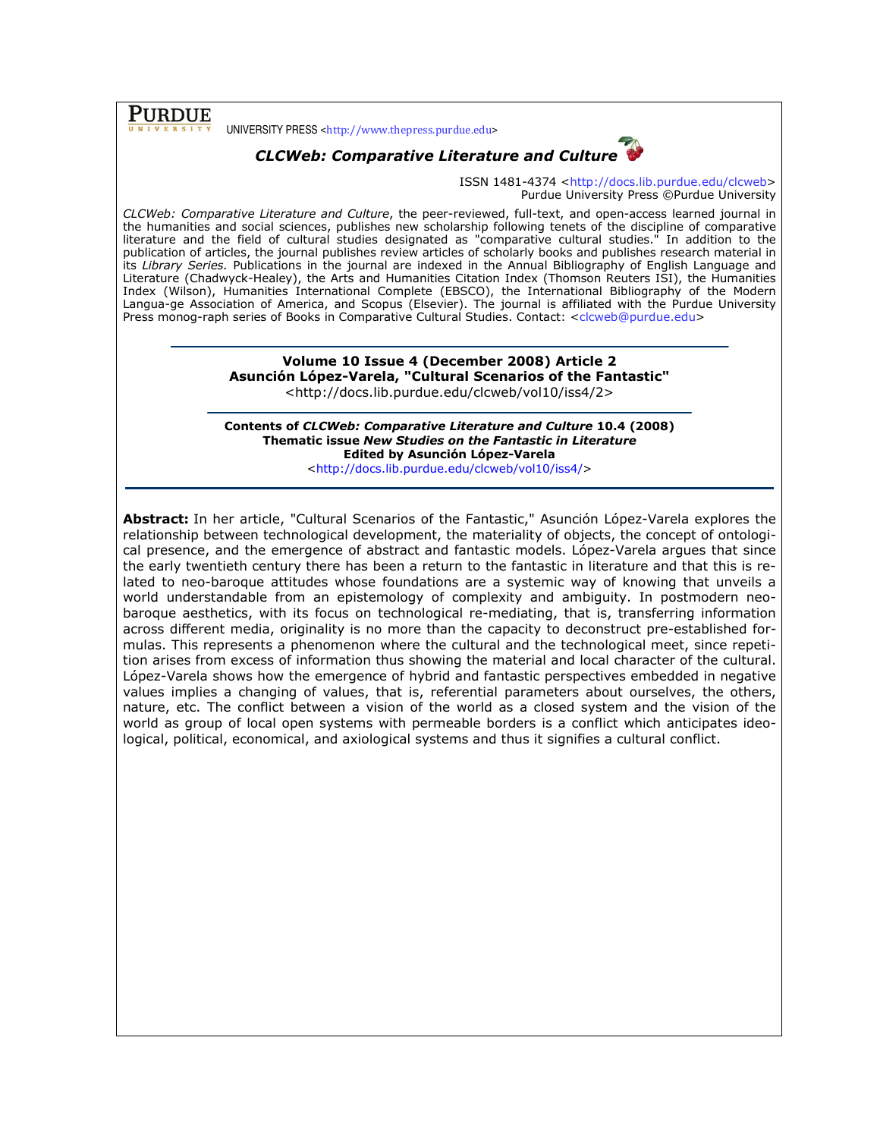PURDUE

UNIVERSITY PRESS <http://www.thepress.purdue.edu>



## CLCWeb: Comparative Literature and Culture

ISSN 1481-4374 <http://docs.lib.purdue.edu/clcweb> Purdue University Press ©Purdue University

CLCWeb: Comparative Literature and Culture, the peer-reviewed, full-text, and open-access learned journal in the humanities and social sciences, publishes new scholarship following tenets of the discipline of comparative literature and the field of cultural studies designated as "comparative cultural studies." In addition to the publication of articles, the journal publishes review articles of scholarly books and publishes research material in its Library Series. Publications in the journal are indexed in the Annual Bibliography of English Language and Literature (Chadwyck-Healey), the Arts and Humanities Citation Index (Thomson Reuters ISI), the Humanities Index (Wilson), Humanities International Complete (EBSCO), the International Bibliography of the Modern Langua-ge Association of America, and Scopus (Elsevier). The journal is affiliated with the Purdue University Press monog-raph series of Books in Comparative Cultural Studies. Contact: <clcweb@purdue.edu>

> Volume 10 Issue 4 (December 2008) Article 2 Asunción López-Varela, "Cultural Scenarios of the Fantastic" <http://docs.lib.purdue.edu/clcweb/vol10/iss4/2>

Contents of CLCWeb: Comparative Literature and Culture 10.4 (2008) Thematic issue New Studies on the Fantastic in Literature Edited by Asunción López-Varela <http://docs.lib.purdue.edu/clcweb/vol10/iss4/>

Abstract: In her article, "Cultural Scenarios of the Fantastic," Asunción López-Varela explores the relationship between technological development, the materiality of objects, the concept of ontological presence, and the emergence of abstract and fantastic models. López-Varela argues that since the early twentieth century there has been a return to the fantastic in literature and that this is related to neo-baroque attitudes whose foundations are a systemic way of knowing that unveils a world understandable from an epistemology of complexity and ambiguity. In postmodern neobaroque aesthetics, with its focus on technological re-mediating, that is, transferring information across different media, originality is no more than the capacity to deconstruct pre-established formulas. This represents a phenomenon where the cultural and the technological meet, since repetition arises from excess of information thus showing the material and local character of the cultural. López-Varela shows how the emergence of hybrid and fantastic perspectives embedded in negative values implies a changing of values, that is, referential parameters about ourselves, the others, nature, etc. The conflict between a vision of the world as a closed system and the vision of the world as group of local open systems with permeable borders is a conflict which anticipates ideological, political, economical, and axiological systems and thus it signifies a cultural conflict.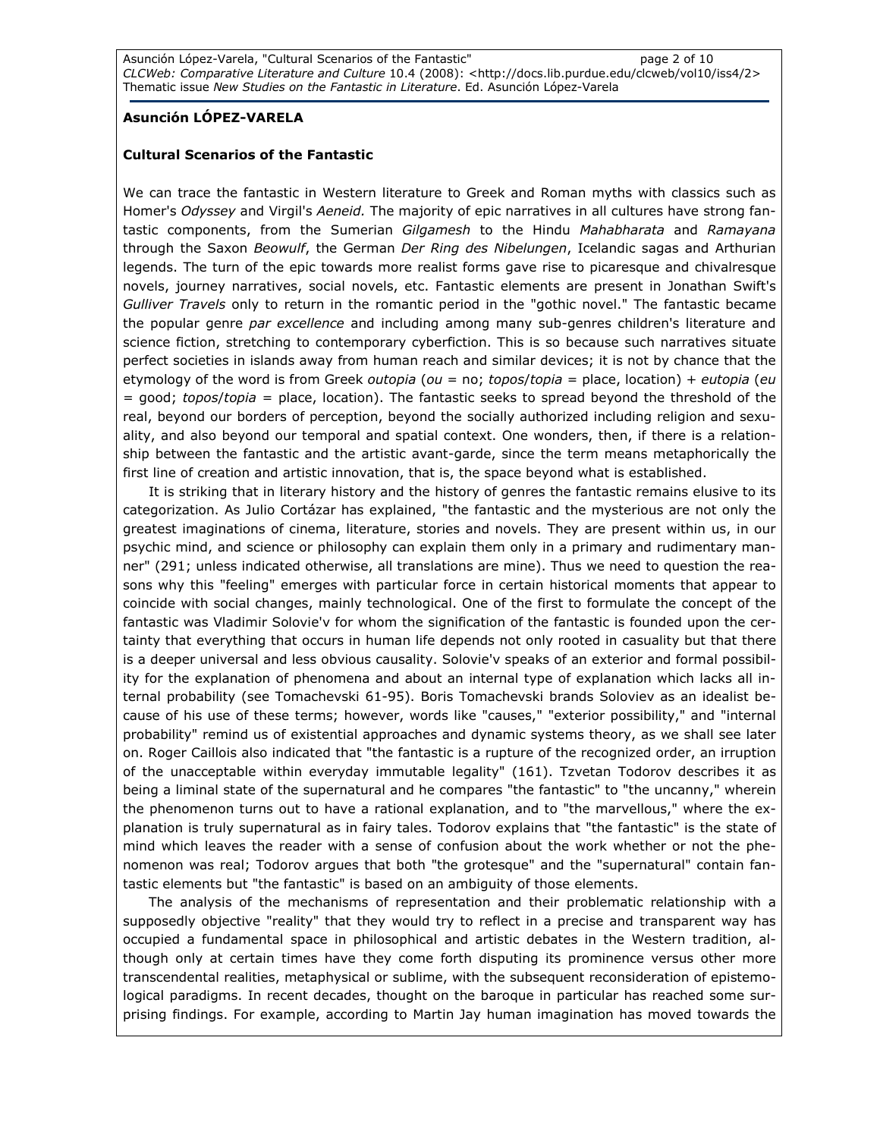### Asunción LÓPEZ-VARELA

#### Cultural Scenarios of the Fantastic

We can trace the fantastic in Western literature to Greek and Roman myths with classics such as Homer's Odyssey and Virgil's Aeneid. The majority of epic narratives in all cultures have strong fantastic components, from the Sumerian Gilgamesh to the Hindu Mahabharata and Ramayana through the Saxon Beowulf, the German Der Ring des Nibelungen, Icelandic sagas and Arthurian legends. The turn of the epic towards more realist forms gave rise to picaresque and chivalresque novels, journey narratives, social novels, etc. Fantastic elements are present in Jonathan Swift's Gulliver Travels only to return in the romantic period in the "gothic novel." The fantastic became the popular genre par excellence and including among many sub-genres children's literature and science fiction, stretching to contemporary cyberfiction. This is so because such narratives situate perfect societies in islands away from human reach and similar devices; it is not by chance that the etymology of the word is from Greek outopia (ou = no; topos/topia = place, location) + eutopia (eu = good; topos/topia = place, location). The fantastic seeks to spread beyond the threshold of the real, beyond our borders of perception, beyond the socially authorized including religion and sexuality, and also beyond our temporal and spatial context. One wonders, then, if there is a relationship between the fantastic and the artistic avant-garde, since the term means metaphorically the first line of creation and artistic innovation, that is, the space beyond what is established.

It is striking that in literary history and the history of genres the fantastic remains elusive to its categorization. As Julio Cortázar has explained, "the fantastic and the mysterious are not only the greatest imaginations of cinema, literature, stories and novels. They are present within us, in our psychic mind, and science or philosophy can explain them only in a primary and rudimentary manner" (291; unless indicated otherwise, all translations are mine). Thus we need to question the reasons why this "feeling" emerges with particular force in certain historical moments that appear to coincide with social changes, mainly technological. One of the first to formulate the concept of the fantastic was Vladimir Solovie'v for whom the signification of the fantastic is founded upon the certainty that everything that occurs in human life depends not only rooted in casuality but that there is a deeper universal and less obvious causality. Solovie'v speaks of an exterior and formal possibility for the explanation of phenomena and about an internal type of explanation which lacks all internal probability (see Tomachevski 61-95). Boris Tomachevski brands Soloviev as an idealist because of his use of these terms; however, words like "causes," "exterior possibility," and "internal probability" remind us of existential approaches and dynamic systems theory, as we shall see later on. Roger Caillois also indicated that "the fantastic is a rupture of the recognized order, an irruption of the unacceptable within everyday immutable legality" (161). Tzvetan Todorov describes it as being a liminal state of the supernatural and he compares "the fantastic" to "the uncanny," wherein the phenomenon turns out to have a rational explanation, and to "the marvellous," where the explanation is truly supernatural as in fairy tales. Todorov explains that "the fantastic" is the state of mind which leaves the reader with a sense of confusion about the work whether or not the phenomenon was real; Todorov argues that both "the grotesque" and the "supernatural" contain fantastic elements but "the fantastic" is based on an ambiguity of those elements.

The analysis of the mechanisms of representation and their problematic relationship with a supposedly objective "reality" that they would try to reflect in a precise and transparent way has occupied a fundamental space in philosophical and artistic debates in the Western tradition, although only at certain times have they come forth disputing its prominence versus other more transcendental realities, metaphysical or sublime, with the subsequent reconsideration of epistemological paradigms. In recent decades, thought on the baroque in particular has reached some surprising findings. For example, according to Martin Jay human imagination has moved towards the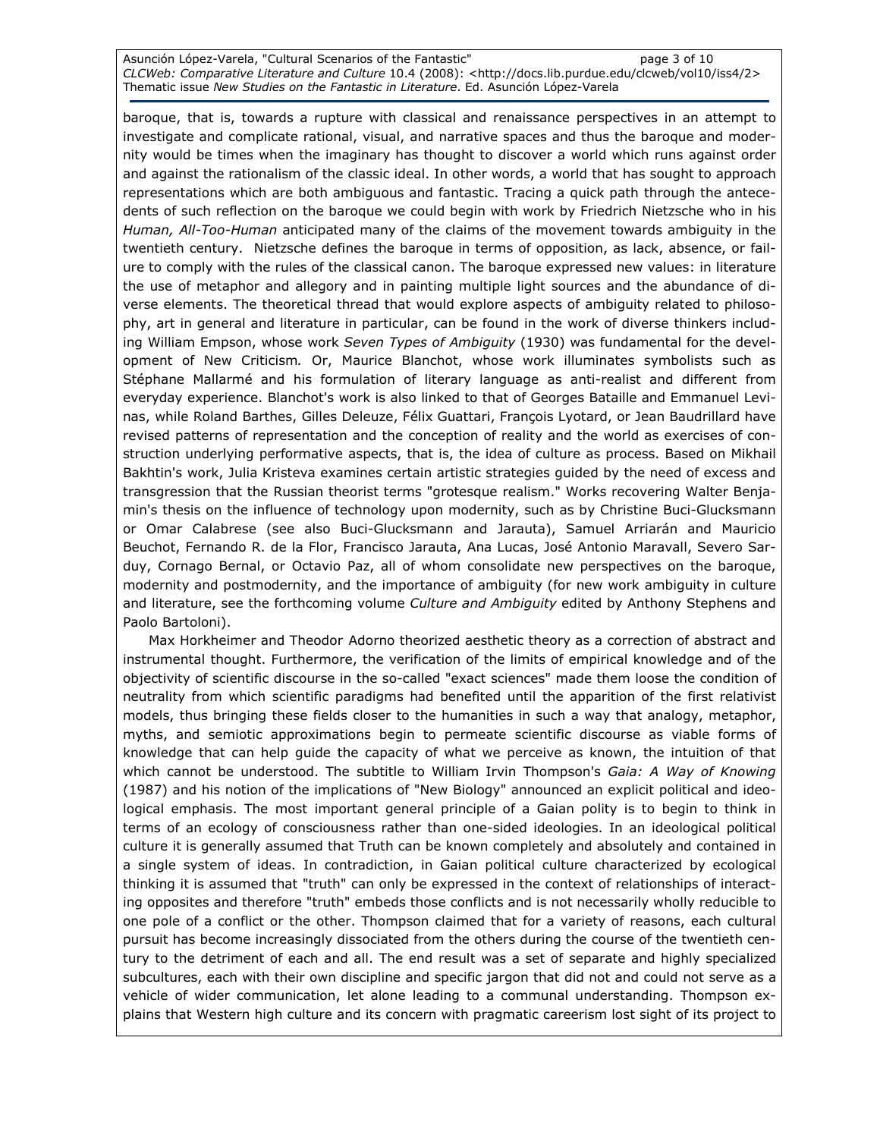Asunción López-Varela, "Cultural Scenarios of the Fantastic" and page 3 of 10 CLCWeb: Comparative Literature and Culture 10.4 (2008): <http://docs.lib.purdue.edu/clcweb/vol10/iss4/2> Thematic issue New Studies on the Fantastic in Literature. Ed. Asunción López-Varela

baroque, that is, towards a rupture with classical and renaissance perspectives in an attempt to investigate and complicate rational, visual, and narrative spaces and thus the baroque and modernity would be times when the imaginary has thought to discover a world which runs against order and against the rationalism of the classic ideal. In other words, a world that has sought to approach representations which are both ambiguous and fantastic. Tracing a quick path through the antecedents of such reflection on the baroque we could begin with work by Friedrich Nietzsche who in his Human, All-Too-Human anticipated many of the claims of the movement towards ambiguity in the twentieth century. Nietzsche defines the baroque in terms of opposition, as lack, absence, or failure to comply with the rules of the classical canon. The baroque expressed new values: in literature the use of metaphor and allegory and in painting multiple light sources and the abundance of diverse elements. The theoretical thread that would explore aspects of ambiguity related to philosophy, art in general and literature in particular, can be found in the work of diverse thinkers including William Empson, whose work Seven Types of Ambiguity (1930) was fundamental for the development of New Criticism. Or, Maurice Blanchot, whose work illuminates symbolists such as Stéphane Mallarmé and his formulation of literary language as anti-realist and different from everyday experience. Blanchot's work is also linked to that of Georges Bataille and Emmanuel Levinas, while Roland Barthes, Gilles Deleuze, Félix Guattari, François Lyotard, or Jean Baudrillard have revised patterns of representation and the conception of reality and the world as exercises of construction underlying performative aspects, that is, the idea of culture as process. Based on Mikhail Bakhtin's work, Julia Kristeva examines certain artistic strategies guided by the need of excess and transgression that the Russian theorist terms "grotesque realism." Works recovering Walter Benjamin's thesis on the influence of technology upon modernity, such as by Christine Buci-Glucksmann or Omar Calabrese (see also Buci-Glucksmann and Jarauta), Samuel Arriarán and Mauricio Beuchot, Fernando R. de la Flor, Francisco Jarauta, Ana Lucas, José Antonio Maravall, Severo Sarduy, Cornago Bernal, or Octavio Paz, all of whom consolidate new perspectives on the baroque, modernity and postmodernity, and the importance of ambiguity (for new work ambiguity in culture and literature, see the forthcoming volume Culture and Ambiguity edited by Anthony Stephens and Paolo Bartoloni).

Max Horkheimer and Theodor Adorno theorized aesthetic theory as a correction of abstract and instrumental thought. Furthermore, the verification of the limits of empirical knowledge and of the objectivity of scientific discourse in the so-called "exact sciences" made them loose the condition of neutrality from which scientific paradigms had benefited until the apparition of the first relativist models, thus bringing these fields closer to the humanities in such a way that analogy, metaphor, myths, and semiotic approximations begin to permeate scientific discourse as viable forms of knowledge that can help guide the capacity of what we perceive as known, the intuition of that which cannot be understood. The subtitle to William Irvin Thompson's Gaia: A Way of Knowing (1987) and his notion of the implications of "New Biology" announced an explicit political and ideological emphasis. The most important general principle of a Gaian polity is to begin to think in terms of an ecology of consciousness rather than one-sided ideologies. In an ideological political culture it is generally assumed that Truth can be known completely and absolutely and contained in a single system of ideas. In contradiction, in Gaian political culture characterized by ecological thinking it is assumed that "truth" can only be expressed in the context of relationships of interacting opposites and therefore "truth" embeds those conflicts and is not necessarily wholly reducible to one pole of a conflict or the other. Thompson claimed that for a variety of reasons, each cultural pursuit has become increasingly dissociated from the others during the course of the twentieth century to the detriment of each and all. The end result was a set of separate and highly specialized subcultures, each with their own discipline and specific jargon that did not and could not serve as a vehicle of wider communication, let alone leading to a communal understanding. Thompson explains that Western high culture and its concern with pragmatic careerism lost sight of its project to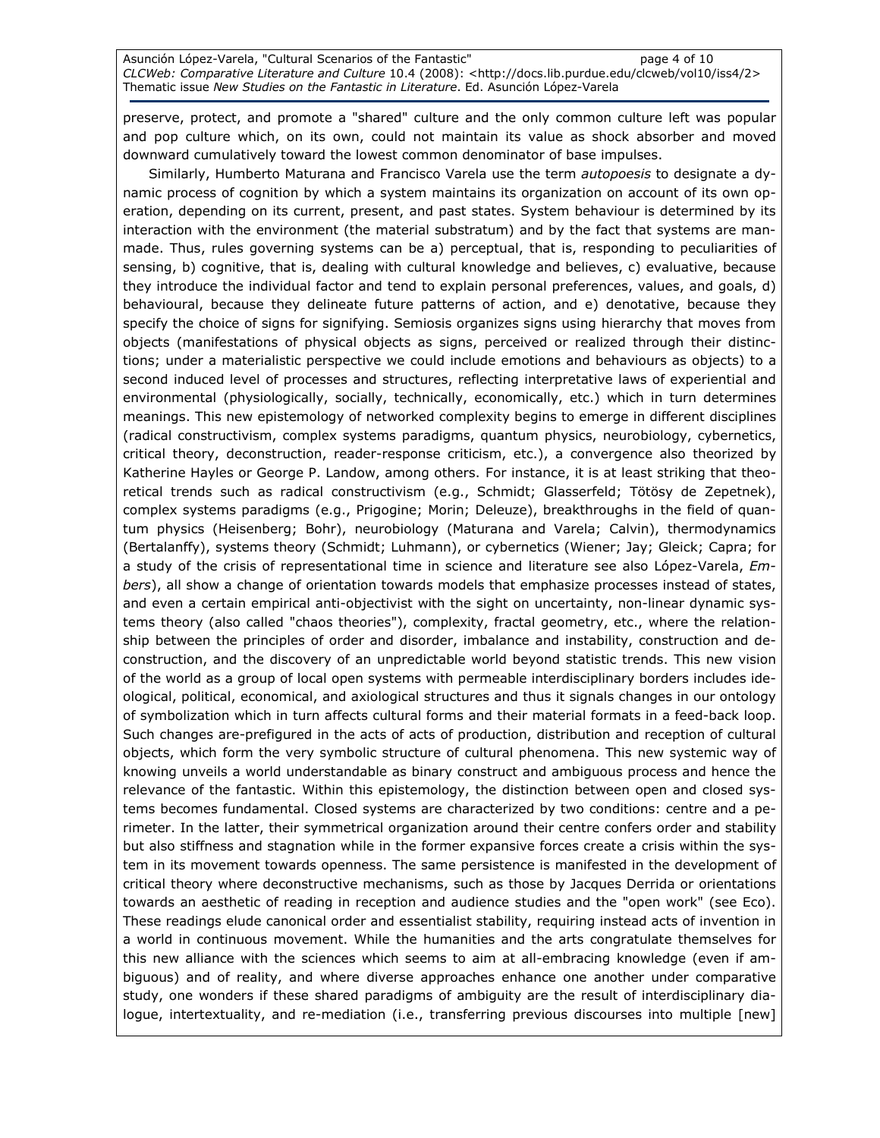Asunción López-Varela, "Cultural Scenarios of the Fantastic" and page 4 of 10 CLCWeb: Comparative Literature and Culture 10.4 (2008): <http://docs.lib.purdue.edu/clcweb/vol10/iss4/2> Thematic issue New Studies on the Fantastic in Literature. Ed. Asunción López-Varela

preserve, protect, and promote a "shared" culture and the only common culture left was popular and pop culture which, on its own, could not maintain its value as shock absorber and moved downward cumulatively toward the lowest common denominator of base impulses.

Similarly, Humberto Maturana and Francisco Varela use the term *autopoesis* to designate a dynamic process of cognition by which a system maintains its organization on account of its own operation, depending on its current, present, and past states. System behaviour is determined by its interaction with the environment (the material substratum) and by the fact that systems are manmade. Thus, rules governing systems can be a) perceptual, that is, responding to peculiarities of sensing, b) cognitive, that is, dealing with cultural knowledge and believes, c) evaluative, because they introduce the individual factor and tend to explain personal preferences, values, and goals, d) behavioural, because they delineate future patterns of action, and e) denotative, because they specify the choice of signs for signifying. Semiosis organizes signs using hierarchy that moves from objects (manifestations of physical objects as signs, perceived or realized through their distinctions; under a materialistic perspective we could include emotions and behaviours as objects) to a second induced level of processes and structures, reflecting interpretative laws of experiential and environmental (physiologically, socially, technically, economically, etc.) which in turn determines meanings. This new epistemology of networked complexity begins to emerge in different disciplines (radical constructivism, complex systems paradigms, quantum physics, neurobiology, cybernetics, critical theory, deconstruction, reader-response criticism, etc.), a convergence also theorized by Katherine Hayles or George P. Landow, among others. For instance, it is at least striking that theoretical trends such as radical constructivism (e.g., Schmidt; Glasserfeld; Tötösy de Zepetnek), complex systems paradigms (e.g., Prigogine; Morin; Deleuze), breakthroughs in the field of quantum physics (Heisenberg; Bohr), neurobiology (Maturana and Varela; Calvin), thermodynamics (Bertalanffy), systems theory (Schmidt; Luhmann), or cybernetics (Wiener; Jay; Gleick; Capra; for a study of the crisis of representational time in science and literature see also López-Varela, Embers), all show a change of orientation towards models that emphasize processes instead of states, and even a certain empirical anti-objectivist with the sight on uncertainty, non-linear dynamic systems theory (also called "chaos theories"), complexity, fractal geometry, etc., where the relationship between the principles of order and disorder, imbalance and instability, construction and deconstruction, and the discovery of an unpredictable world beyond statistic trends. This new vision of the world as a group of local open systems with permeable interdisciplinary borders includes ideological, political, economical, and axiological structures and thus it signals changes in our ontology of symbolization which in turn affects cultural forms and their material formats in a feed-back loop. Such changes are-prefigured in the acts of acts of production, distribution and reception of cultural objects, which form the very symbolic structure of cultural phenomena. This new systemic way of knowing unveils a world understandable as binary construct and ambiguous process and hence the relevance of the fantastic. Within this epistemology, the distinction between open and closed systems becomes fundamental. Closed systems are characterized by two conditions: centre and a perimeter. In the latter, their symmetrical organization around their centre confers order and stability but also stiffness and stagnation while in the former expansive forces create a crisis within the system in its movement towards openness. The same persistence is manifested in the development of critical theory where deconstructive mechanisms, such as those by Jacques Derrida or orientations towards an aesthetic of reading in reception and audience studies and the "open work" (see Eco). These readings elude canonical order and essentialist stability, requiring instead acts of invention in a world in continuous movement. While the humanities and the arts congratulate themselves for this new alliance with the sciences which seems to aim at all-embracing knowledge (even if ambiguous) and of reality, and where diverse approaches enhance one another under comparative study, one wonders if these shared paradigms of ambiguity are the result of interdisciplinary dialogue, intertextuality, and re-mediation (i.e., transferring previous discourses into multiple [new]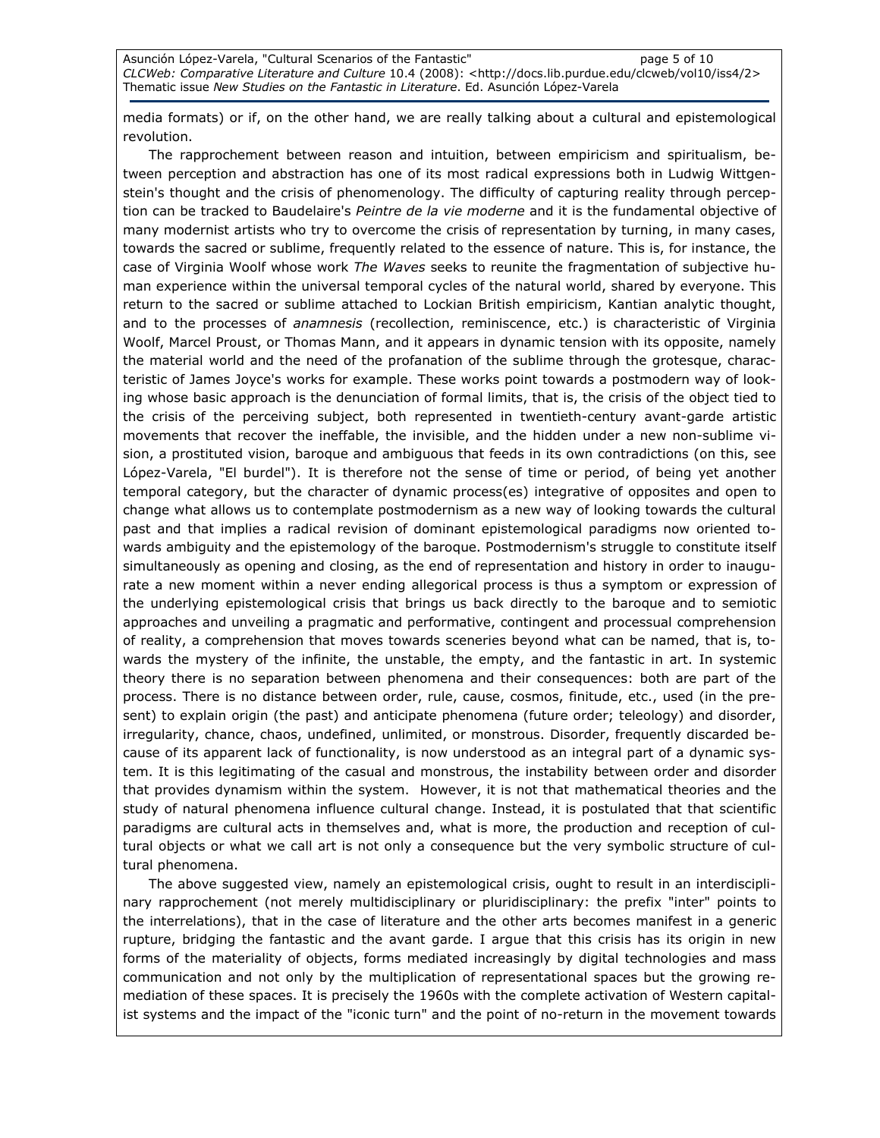media formats) or if, on the other hand, we are really talking about a cultural and epistemological revolution.

The rapprochement between reason and intuition, between empiricism and spiritualism, between perception and abstraction has one of its most radical expressions both in Ludwig Wittgenstein's thought and the crisis of phenomenology. The difficulty of capturing reality through perception can be tracked to Baudelaire's Peintre de la vie moderne and it is the fundamental objective of many modernist artists who try to overcome the crisis of representation by turning, in many cases, towards the sacred or sublime, frequently related to the essence of nature. This is, for instance, the case of Virginia Woolf whose work The Waves seeks to reunite the fragmentation of subjective human experience within the universal temporal cycles of the natural world, shared by everyone. This return to the sacred or sublime attached to Lockian British empiricism, Kantian analytic thought, and to the processes of anamnesis (recollection, reminiscence, etc.) is characteristic of Virginia Woolf, Marcel Proust, or Thomas Mann, and it appears in dynamic tension with its opposite, namely the material world and the need of the profanation of the sublime through the grotesque, characteristic of James Joyce's works for example. These works point towards a postmodern way of looking whose basic approach is the denunciation of formal limits, that is, the crisis of the object tied to the crisis of the perceiving subject, both represented in twentieth-century avant-garde artistic movements that recover the ineffable, the invisible, and the hidden under a new non-sublime vision, a prostituted vision, baroque and ambiguous that feeds in its own contradictions (on this, see López-Varela, "El burdel"). It is therefore not the sense of time or period, of being yet another temporal category, but the character of dynamic process(es) integrative of opposites and open to change what allows us to contemplate postmodernism as a new way of looking towards the cultural past and that implies a radical revision of dominant epistemological paradigms now oriented towards ambiguity and the epistemology of the baroque. Postmodernism's struggle to constitute itself simultaneously as opening and closing, as the end of representation and history in order to inaugurate a new moment within a never ending allegorical process is thus a symptom or expression of the underlying epistemological crisis that brings us back directly to the baroque and to semiotic approaches and unveiling a pragmatic and performative, contingent and processual comprehension of reality, a comprehension that moves towards sceneries beyond what can be named, that is, towards the mystery of the infinite, the unstable, the empty, and the fantastic in art. In systemic theory there is no separation between phenomena and their consequences: both are part of the process. There is no distance between order, rule, cause, cosmos, finitude, etc., used (in the present) to explain origin (the past) and anticipate phenomena (future order; teleology) and disorder, irregularity, chance, chaos, undefined, unlimited, or monstrous. Disorder, frequently discarded because of its apparent lack of functionality, is now understood as an integral part of a dynamic system. It is this legitimating of the casual and monstrous, the instability between order and disorder that provides dynamism within the system. However, it is not that mathematical theories and the study of natural phenomena influence cultural change. Instead, it is postulated that that scientific paradigms are cultural acts in themselves and, what is more, the production and reception of cultural objects or what we call art is not only a consequence but the very symbolic structure of cultural phenomena.

The above suggested view, namely an epistemological crisis, ought to result in an interdisciplinary rapprochement (not merely multidisciplinary or pluridisciplinary: the prefix "inter" points to the interrelations), that in the case of literature and the other arts becomes manifest in a generic rupture, bridging the fantastic and the avant garde. I argue that this crisis has its origin in new forms of the materiality of objects, forms mediated increasingly by digital technologies and mass communication and not only by the multiplication of representational spaces but the growing remediation of these spaces. It is precisely the 1960s with the complete activation of Western capitalist systems and the impact of the "iconic turn" and the point of no-return in the movement towards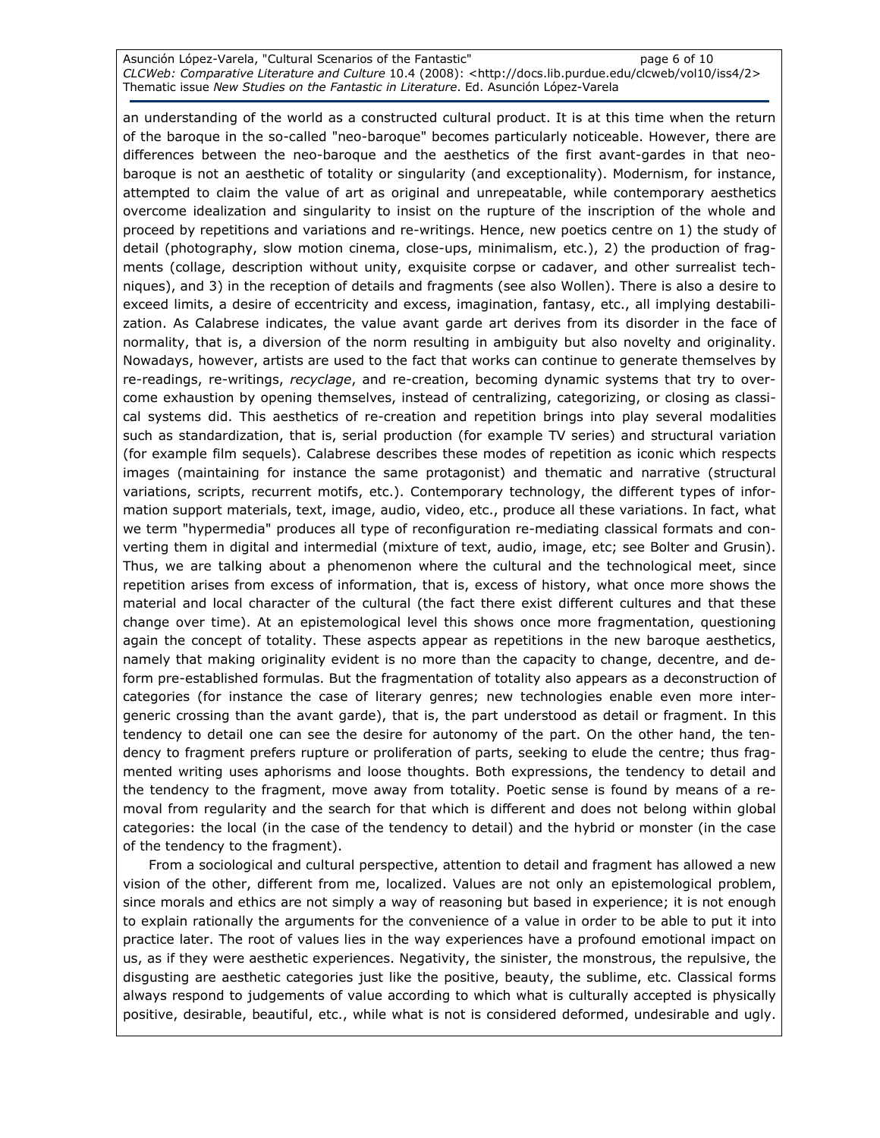Asunción López-Varela, "Cultural Scenarios of the Fantastic" and page 6 of 10 CLCWeb: Comparative Literature and Culture 10.4 (2008): <http://docs.lib.purdue.edu/clcweb/vol10/iss4/2> Thematic issue New Studies on the Fantastic in Literature. Ed. Asunción López-Varela

an understanding of the world as a constructed cultural product. It is at this time when the return of the baroque in the so-called "neo-baroque" becomes particularly noticeable. However, there are differences between the neo-baroque and the aesthetics of the first avant-gardes in that neobaroque is not an aesthetic of totality or singularity (and exceptionality). Modernism, for instance, attempted to claim the value of art as original and unrepeatable, while contemporary aesthetics overcome idealization and singularity to insist on the rupture of the inscription of the whole and proceed by repetitions and variations and re-writings. Hence, new poetics centre on 1) the study of detail (photography, slow motion cinema, close-ups, minimalism, etc.), 2) the production of fragments (collage, description without unity, exquisite corpse or cadaver, and other surrealist techniques), and 3) in the reception of details and fragments (see also Wollen). There is also a desire to exceed limits, a desire of eccentricity and excess, imagination, fantasy, etc., all implying destabilization. As Calabrese indicates, the value avant garde art derives from its disorder in the face of normality, that is, a diversion of the norm resulting in ambiguity but also novelty and originality. Nowadays, however, artists are used to the fact that works can continue to generate themselves by re-readings, re-writings, recyclage, and re-creation, becoming dynamic systems that try to overcome exhaustion by opening themselves, instead of centralizing, categorizing, or closing as classical systems did. This aesthetics of re-creation and repetition brings into play several modalities such as standardization, that is, serial production (for example TV series) and structural variation (for example film sequels). Calabrese describes these modes of repetition as iconic which respects images (maintaining for instance the same protagonist) and thematic and narrative (structural variations, scripts, recurrent motifs, etc.). Contemporary technology, the different types of information support materials, text, image, audio, video, etc., produce all these variations. In fact, what we term "hypermedia" produces all type of reconfiguration re-mediating classical formats and converting them in digital and intermedial (mixture of text, audio, image, etc; see Bolter and Grusin). Thus, we are talking about a phenomenon where the cultural and the technological meet, since repetition arises from excess of information, that is, excess of history, what once more shows the material and local character of the cultural (the fact there exist different cultures and that these change over time). At an epistemological level this shows once more fragmentation, questioning again the concept of totality. These aspects appear as repetitions in the new baroque aesthetics, namely that making originality evident is no more than the capacity to change, decentre, and deform pre-established formulas. But the fragmentation of totality also appears as a deconstruction of categories (for instance the case of literary genres; new technologies enable even more intergeneric crossing than the avant garde), that is, the part understood as detail or fragment. In this tendency to detail one can see the desire for autonomy of the part. On the other hand, the tendency to fragment prefers rupture or proliferation of parts, seeking to elude the centre; thus fragmented writing uses aphorisms and loose thoughts. Both expressions, the tendency to detail and the tendency to the fragment, move away from totality. Poetic sense is found by means of a removal from regularity and the search for that which is different and does not belong within global categories: the local (in the case of the tendency to detail) and the hybrid or monster (in the case of the tendency to the fragment).

From a sociological and cultural perspective, attention to detail and fragment has allowed a new vision of the other, different from me, localized. Values are not only an epistemological problem, since morals and ethics are not simply a way of reasoning but based in experience; it is not enough to explain rationally the arguments for the convenience of a value in order to be able to put it into practice later. The root of values lies in the way experiences have a profound emotional impact on us, as if they were aesthetic experiences. Negativity, the sinister, the monstrous, the repulsive, the disgusting are aesthetic categories just like the positive, beauty, the sublime, etc. Classical forms always respond to judgements of value according to which what is culturally accepted is physically positive, desirable, beautiful, etc., while what is not is considered deformed, undesirable and ugly.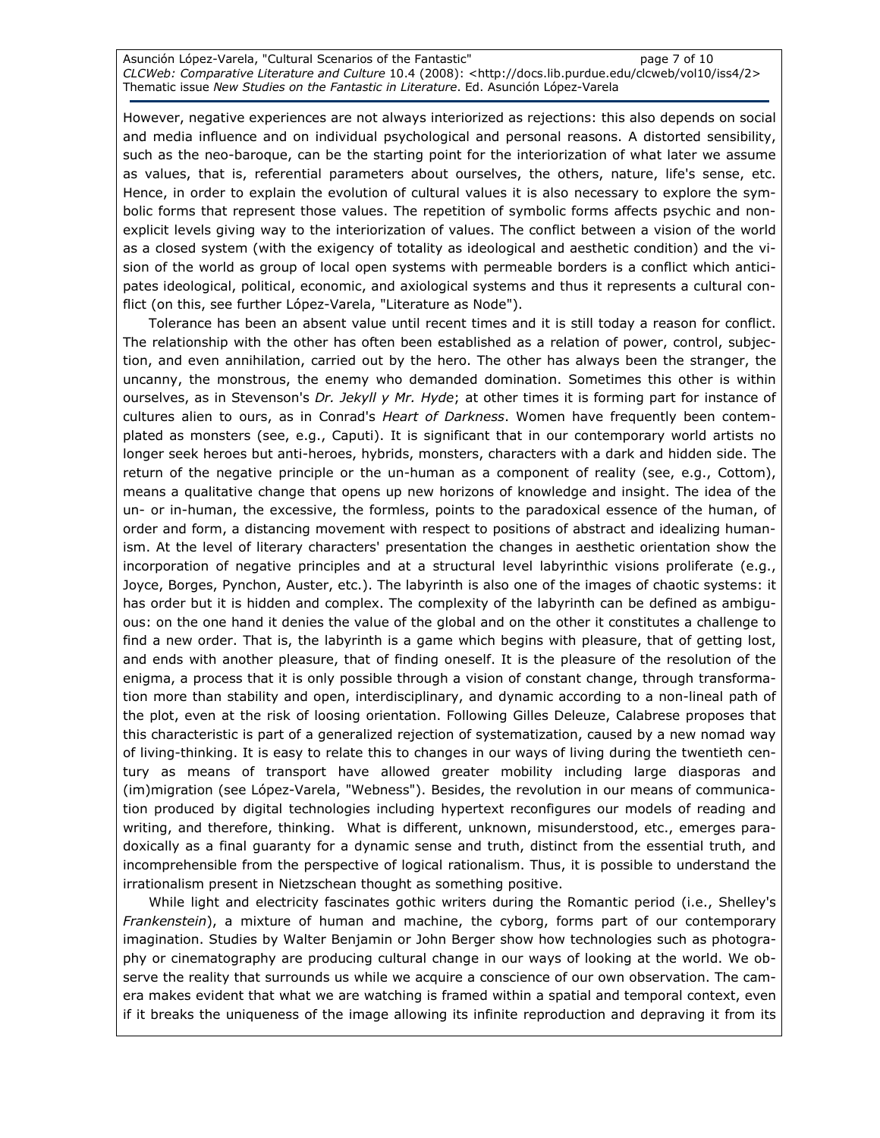Asunción López-Varela, "Cultural Scenarios of the Fantastic" entrananties of 10 CLCWeb: Comparative Literature and Culture 10.4 (2008): <http://docs.lib.purdue.edu/clcweb/vol10/iss4/2> Thematic issue New Studies on the Fantastic in Literature. Ed. Asunción López-Varela

However, negative experiences are not always interiorized as rejections: this also depends on social and media influence and on individual psychological and personal reasons. A distorted sensibility, such as the neo-baroque, can be the starting point for the interiorization of what later we assume as values, that is, referential parameters about ourselves, the others, nature, life's sense, etc. Hence, in order to explain the evolution of cultural values it is also necessary to explore the symbolic forms that represent those values. The repetition of symbolic forms affects psychic and nonexplicit levels giving way to the interiorization of values. The conflict between a vision of the world as a closed system (with the exigency of totality as ideological and aesthetic condition) and the vision of the world as group of local open systems with permeable borders is a conflict which anticipates ideological, political, economic, and axiological systems and thus it represents a cultural conflict (on this, see further López-Varela, "Literature as Node").

Tolerance has been an absent value until recent times and it is still today a reason for conflict. The relationship with the other has often been established as a relation of power, control, subjection, and even annihilation, carried out by the hero. The other has always been the stranger, the uncanny, the monstrous, the enemy who demanded domination. Sometimes this other is within ourselves, as in Stevenson's Dr. Jekyll y Mr. Hyde; at other times it is forming part for instance of cultures alien to ours, as in Conrad's Heart of Darkness. Women have frequently been contemplated as monsters (see, e.g., Caputi). It is significant that in our contemporary world artists no longer seek heroes but anti-heroes, hybrids, monsters, characters with a dark and hidden side. The return of the negative principle or the un-human as a component of reality (see, e.g., Cottom), means a qualitative change that opens up new horizons of knowledge and insight. The idea of the un- or in-human, the excessive, the formless, points to the paradoxical essence of the human, of order and form, a distancing movement with respect to positions of abstract and idealizing humanism. At the level of literary characters' presentation the changes in aesthetic orientation show the incorporation of negative principles and at a structural level labyrinthic visions proliferate (e.g., Joyce, Borges, Pynchon, Auster, etc.). The labyrinth is also one of the images of chaotic systems: it has order but it is hidden and complex. The complexity of the labyrinth can be defined as ambiguous: on the one hand it denies the value of the global and on the other it constitutes a challenge to find a new order. That is, the labyrinth is a game which begins with pleasure, that of getting lost, and ends with another pleasure, that of finding oneself. It is the pleasure of the resolution of the enigma, a process that it is only possible through a vision of constant change, through transformation more than stability and open, interdisciplinary, and dynamic according to a non-lineal path of the plot, even at the risk of loosing orientation. Following Gilles Deleuze, Calabrese proposes that this characteristic is part of a generalized rejection of systematization, caused by a new nomad way of living-thinking. It is easy to relate this to changes in our ways of living during the twentieth century as means of transport have allowed greater mobility including large diasporas and (im)migration (see López-Varela, "Webness"). Besides, the revolution in our means of communication produced by digital technologies including hypertext reconfigures our models of reading and writing, and therefore, thinking. What is different, unknown, misunderstood, etc., emerges paradoxically as a final guaranty for a dynamic sense and truth, distinct from the essential truth, and incomprehensible from the perspective of logical rationalism. Thus, it is possible to understand the irrationalism present in Nietzschean thought as something positive.

While light and electricity fascinates gothic writers during the Romantic period (i.e., Shelley's Frankenstein), a mixture of human and machine, the cyborg, forms part of our contemporary imagination. Studies by Walter Benjamin or John Berger show how technologies such as photography or cinematography are producing cultural change in our ways of looking at the world. We observe the reality that surrounds us while we acquire a conscience of our own observation. The camera makes evident that what we are watching is framed within a spatial and temporal context, even if it breaks the uniqueness of the image allowing its infinite reproduction and depraving it from its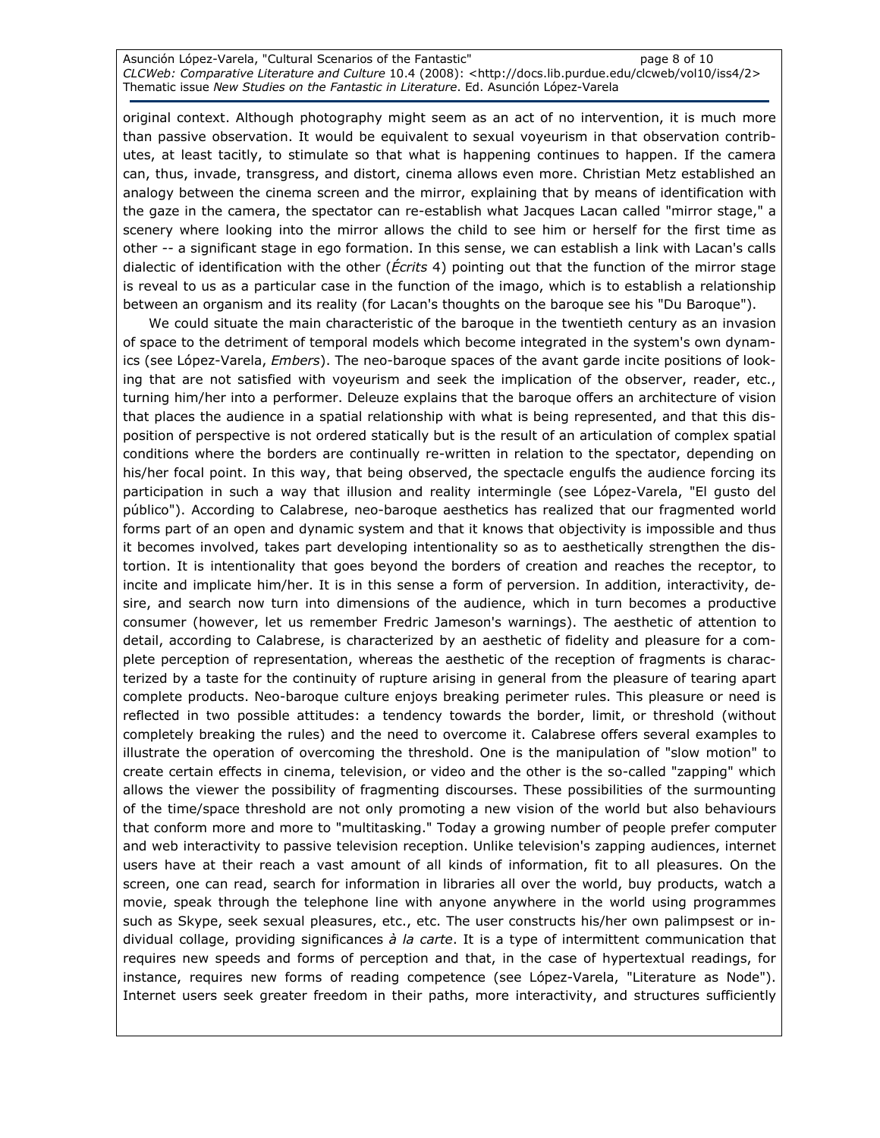Asunción López-Varela, "Cultural Scenarios of the Fantastic" and page 8 of 10 CLCWeb: Comparative Literature and Culture 10.4 (2008): <http://docs.lib.purdue.edu/clcweb/vol10/iss4/2> Thematic issue New Studies on the Fantastic in Literature. Ed. Asunción López-Varela

original context. Although photography might seem as an act of no intervention, it is much more than passive observation. It would be equivalent to sexual voyeurism in that observation contributes, at least tacitly, to stimulate so that what is happening continues to happen. If the camera can, thus, invade, transgress, and distort, cinema allows even more. Christian Metz established an analogy between the cinema screen and the mirror, explaining that by means of identification with the gaze in the camera, the spectator can re-establish what Jacques Lacan called "mirror stage," a scenery where looking into the mirror allows the child to see him or herself for the first time as other -- a significant stage in ego formation. In this sense, we can establish a link with Lacan's calls dialectic of identification with the other (*Écrits* 4) pointing out that the function of the mirror stage is reveal to us as a particular case in the function of the imago, which is to establish a relationship between an organism and its reality (for Lacan's thoughts on the baroque see his "Du Baroque").

We could situate the main characteristic of the baroque in the twentieth century as an invasion of space to the detriment of temporal models which become integrated in the system's own dynamics (see López-Varela, Embers). The neo-baroque spaces of the avant garde incite positions of looking that are not satisfied with voyeurism and seek the implication of the observer, reader, etc., turning him/her into a performer. Deleuze explains that the baroque offers an architecture of vision that places the audience in a spatial relationship with what is being represented, and that this disposition of perspective is not ordered statically but is the result of an articulation of complex spatial conditions where the borders are continually re-written in relation to the spectator, depending on his/her focal point. In this way, that being observed, the spectacle engulfs the audience forcing its participation in such a way that illusion and reality intermingle (see López-Varela, "El gusto del público"). According to Calabrese, neo-baroque aesthetics has realized that our fragmented world forms part of an open and dynamic system and that it knows that objectivity is impossible and thus it becomes involved, takes part developing intentionality so as to aesthetically strengthen the distortion. It is intentionality that goes beyond the borders of creation and reaches the receptor, to incite and implicate him/her. It is in this sense a form of perversion. In addition, interactivity, desire, and search now turn into dimensions of the audience, which in turn becomes a productive consumer (however, let us remember Fredric Jameson's warnings). The aesthetic of attention to detail, according to Calabrese, is characterized by an aesthetic of fidelity and pleasure for a complete perception of representation, whereas the aesthetic of the reception of fragments is characterized by a taste for the continuity of rupture arising in general from the pleasure of tearing apart complete products. Neo-baroque culture enjoys breaking perimeter rules. This pleasure or need is reflected in two possible attitudes: a tendency towards the border, limit, or threshold (without completely breaking the rules) and the need to overcome it. Calabrese offers several examples to illustrate the operation of overcoming the threshold. One is the manipulation of "slow motion" to create certain effects in cinema, television, or video and the other is the so-called "zapping" which allows the viewer the possibility of fragmenting discourses. These possibilities of the surmounting of the time/space threshold are not only promoting a new vision of the world but also behaviours that conform more and more to "multitasking." Today a growing number of people prefer computer and web interactivity to passive television reception. Unlike television's zapping audiences, internet users have at their reach a vast amount of all kinds of information, fit to all pleasures. On the screen, one can read, search for information in libraries all over the world, buy products, watch a movie, speak through the telephone line with anyone anywhere in the world using programmes such as Skype, seek sexual pleasures, etc., etc. The user constructs his/her own palimpsest or individual collage, providing significances  $\dot{a}$  la carte. It is a type of intermittent communication that requires new speeds and forms of perception and that, in the case of hypertextual readings, for instance, requires new forms of reading competence (see López-Varela, "Literature as Node"). Internet users seek greater freedom in their paths, more interactivity, and structures sufficiently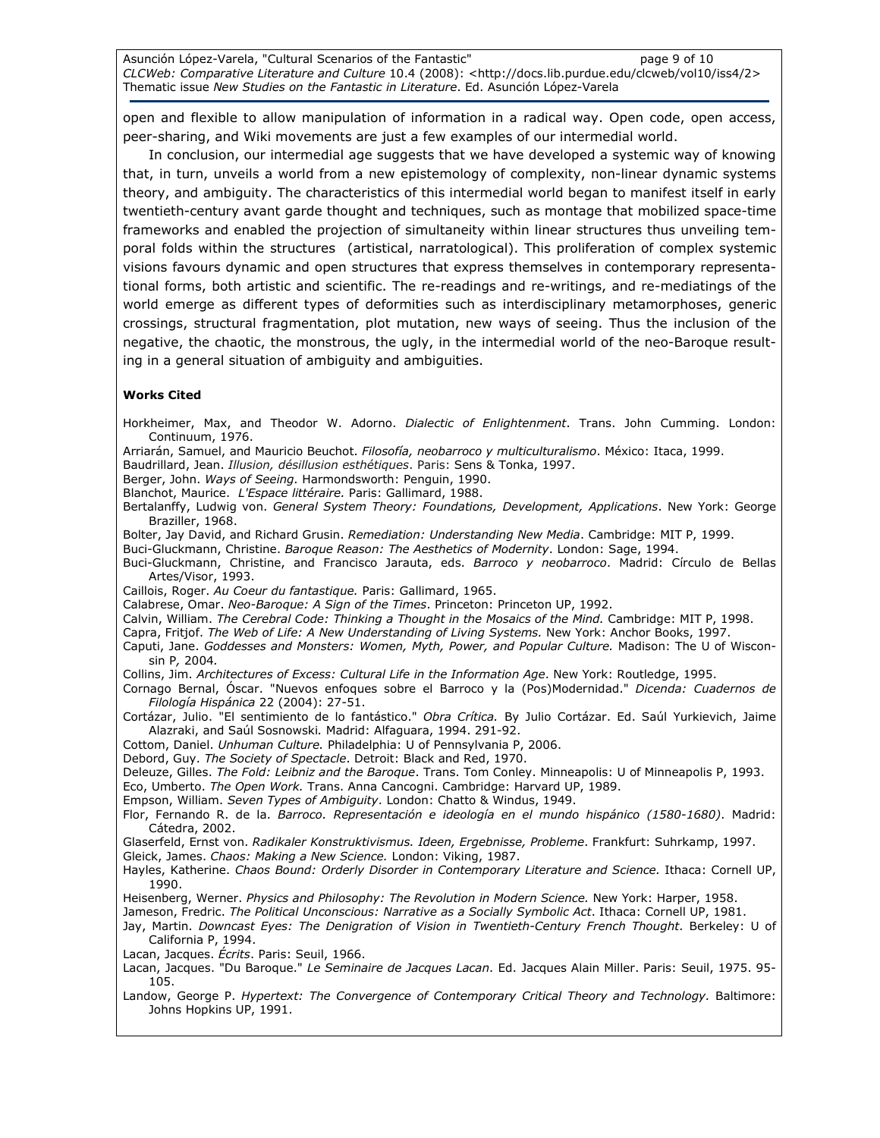Asunción López-Varela, "Cultural Scenarios of the Fantastic" entrarretion page 9 of 10 CLCWeb: Comparative Literature and Culture 10.4 (2008): <http://docs.lib.purdue.edu/clcweb/vol10/iss4/2> Thematic issue New Studies on the Fantastic in Literature. Ed. Asunción López-Varela

open and flexible to allow manipulation of information in a radical way. Open code, open access, peer-sharing, and Wiki movements are just a few examples of our intermedial world.

In conclusion, our intermedial age suggests that we have developed a systemic way of knowing that, in turn, unveils a world from a new epistemology of complexity, non-linear dynamic systems theory, and ambiguity. The characteristics of this intermedial world began to manifest itself in early twentieth-century avant garde thought and techniques, such as montage that mobilized space-time frameworks and enabled the projection of simultaneity within linear structures thus unveiling temporal folds within the structures (artistical, narratological). This proliferation of complex systemic visions favours dynamic and open structures that express themselves in contemporary representational forms, both artistic and scientific. The re-readings and re-writings, and re-mediatings of the world emerge as different types of deformities such as interdisciplinary metamorphoses, generic crossings, structural fragmentation, plot mutation, new ways of seeing. Thus the inclusion of the negative, the chaotic, the monstrous, the ugly, in the intermedial world of the neo-Baroque resulting in a general situation of ambiguity and ambiguities.

#### Works Cited

Horkheimer, Max, and Theodor W. Adorno. Dialectic of Enlightenment. Trans. John Cumming. London: Continuum, 1976. Arriarán, Samuel, and Mauricio Beuchot. Filosofía, neobarroco y multiculturalismo. México: Itaca, 1999. Baudrillard, Jean. Illusion, désillusion esthétiques. Paris: Sens & Tonka, 1997.

Berger, John. Ways of Seeing. Harmondsworth: Penguin, 1990.

Blanchot, Maurice. L'Espace littéraire. Paris: Gallimard, 1988.

- Bertalanffy, Ludwig von. General System Theory: Foundations, Development, Applications. New York: George Braziller, 1968.
- Bolter, Jay David, and Richard Grusin. Remediation: Understanding New Media. Cambridge: MIT P, 1999.

Buci-Gluckmann, Christine. Baroque Reason: The Aesthetics of Modernity. London: Sage, 1994.

Buci-Gluckmann, Christine, and Francisco Jarauta, eds. Barroco y neobarroco. Madrid: Círculo de Bellas Artes/Visor, 1993.

Caillois, Roger. Au Coeur du fantastique. Paris: Gallimard, 1965.

Calabrese, Omar. Neo-Baroque: A Sign of the Times. Princeton: Princeton UP, 1992.

Calvin, William. The Cerebral Code: Thinking a Thought in the Mosaics of the Mind. Cambridge: MIT P, 1998.

Capra, Fritjof. The Web of Life: A New Understanding of Living Systems. New York: Anchor Books, 1997.

Caputi, Jane. Goddesses and Monsters: Women, Myth, Power, and Popular Culture. Madison: The U of Wisconsin P, 2004.

Collins, Jim. Architectures of Excess: Cultural Life in the Information Age. New York: Routledge, 1995.

Cornago Bernal, Óscar. "Nuevos enfoques sobre el Barroco y la (Pos)Modernidad." Dicenda: Cuadernos de Filología Hispánica 22 (2004): 27-51.

Cortázar, Julio. "El sentimiento de lo fantástico." Obra Crítica. By Julio Cortázar. Ed. Saúl Yurkievich, Jaime Alazraki, and Saúl Sosnowski. Madrid: Alfaguara, 1994. 291-92.

Cottom, Daniel. Unhuman Culture. Philadelphia: U of Pennsylvania P, 2006.

Debord, Guy. The Society of Spectacle. Detroit: Black and Red, 1970.

Deleuze, Gilles. The Fold: Leibniz and the Baroque. Trans. Tom Conley. Minneapolis: U of Minneapolis P, 1993.

Eco, Umberto. The Open Work. Trans. Anna Cancogni. Cambridge: Harvard UP, 1989.

Empson, William. Seven Types of Ambiguity. London: Chatto & Windus, 1949.

Flor, Fernando R. de la. Barroco. Representación e ideología en el mundo hispánico (1580-1680). Madrid: Cátedra, 2002.

Glaserfeld, Ernst von. Radikaler Konstruktivismus. Ideen, Ergebnisse, Probleme. Frankfurt: Suhrkamp, 1997.

Gleick, James. Chaos: Making a New Science. London: Viking, 1987.

Hayles, Katherine. Chaos Bound: Orderly Disorder in Contemporary Literature and Science. Ithaca: Cornell UP, 1990.

Heisenberg, Werner. Physics and Philosophy: The Revolution in Modern Science. New York: Harper, 1958.

Jameson, Fredric. The Political Unconscious: Narrative as a Socially Symbolic Act. Ithaca: Cornell UP, 1981.

Jay, Martin. Downcast Eyes: The Denigration of Vision in Twentieth-Century French Thought. Berkeley: U of California P, 1994.

Lacan, Jacques. Écrits. Paris: Seuil, 1966.

Lacan, Jacques. "Du Baroque." Le Seminaire de Jacques Lacan. Ed. Jacques Alain Miller. Paris: Seuil, 1975. 95-105.

Landow, George P. Hypertext: The Convergence of Contemporary Critical Theory and Technology. Baltimore: Johns Hopkins UP, 1991.